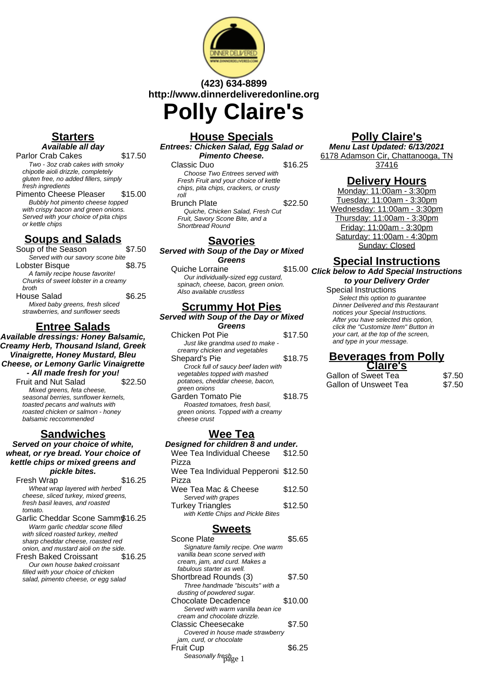

# **(423) 634-8899 http://www.dinnerdeliveredonline.org Polly Claire's**

## **Starters Available all day**

Parlor Crab Cakes \$17.50 Two - 3oz crab cakes with smoky chipotle aioli drizzle, completely gluten free, no added fillers, simply

fresh ingredients Pimento Cheese Pleaser \$15.00 Bubbly hot pimento cheese topped with crispy bacon and green onions. Served with your choice of pita chips or kettle chips

# **Soups and Salads**

Soup of the Season \$7.50 Served with our savory scone bite Lobster Bisque \$8.75 A family recipe house favorite! Chunks of sweet lobster in a creamy broth House Salad \$6.25 Mixed baby greens, fresh sliced

strawberries, and sunflower seeds

# **Entree Salads**

**Available dressings: Honey Balsamic, Creamy Herb, Thousand Island, Greek Vinaigrette, Honey Mustard, Bleu Cheese, or Lemony Garlic Vinaigrette - All made fresh for you!** Fruit and Nut Salad \$22.50

Mixed greens, feta cheese, seasonal berries, sunflower kernels, toasted pecans and walnuts with roasted chicken or salmon - honey balsamic reccommended

# **Sandwiches**

#### **Served on your choice of white, wheat, or rye bread. Your choice of kettle chips or mixed greens and pickle bites.**

Fresh Wrap  $$16.25$ Wheat wrap layered with herbed cheese, sliced turkey, mixed greens, fresh basil leaves, and roasted tomato.

- Garlic Cheddar Scone Sammy\$16.25 Warm garlic cheddar scone filled with sliced roasted turkey, melted sharp cheddar cheese, roasted red onion, and mustard aioli on the side.
- Fresh Baked Croissant \$16.25 Our own house baked croissant filled with your choice of chicken salad, pimento cheese, or egg salad

## **House Specials Entrees: Chicken Salad, Egg Salad or**

**Pimento Cheese.**

## Classic Duo \$16.25

Choose Two Entrees served with Fresh Fruit and your choice of kettle chips, pita chips, crackers, or crusty roll

## Brunch Plate \$22.50

Quiche, Chicken Salad, Fresh Cut Fruit, Savory Scone Bite, and a Shortbread Round

## **Savories**

**Served with Soup of the Day or Mixed Greens**

#### Quiche Lorraine Our individually-sized egg custard, spinach, cheese, bacon, green onion. Also available crustless

# **Scrummy Hot Pies**

**Served with Soup of the Day or Mixed Greens**

| Chicken Pot Pie                     | \$17.50 |
|-------------------------------------|---------|
| Just like grandma used to make -    |         |
| creamy chicken and vegetables       |         |
| Shepard's Pie                       | \$18.75 |
| Crock full of saucy beef laden with |         |
| vegetables topped with mashed       |         |
| potatoes, cheddar cheese, bacon,    |         |
| green onions                        |         |
| Garden Tomato Pie                   | \$18.75 |
| Roasted tomatoes, fresh basil,      |         |
| green onions. Topped with a creamy  |         |
| cheese crust                        |         |
|                                     |         |

# **Wee Tea**

**Designed for children 8 and under.** Wee Tea Individual Cheese Pizza \$12.50 Wee Tea Individual Pepperoni \$12.50 Pizza Wee Tea Mac & Cheese \$12.50 Served with grapes Turkey Triangles \$12.50 with Kettle Chips and Pickle Bites

# **Sweets**

| Scone Plate                       | \$5.65  |
|-----------------------------------|---------|
| Signature family recipe. One warm |         |
| vanilla bean scone served with    |         |
| cream, jam, and curd. Makes a     |         |
| fabulous starter as well.         |         |
| Shortbread Rounds (3)             | \$7.50  |
| Three handmade "biscuits" with a  |         |
| dusting of powdered sugar.        |         |
| Chocolate Decadence               | \$10.00 |
| Served with warm vanilla bean ice |         |
| cream and chocolate drizzle.      |         |
| Classic Cheesecake                | \$7.50  |
| Covered in house made strawberry  |         |
| jam, curd, or chocolate           |         |
| Fruit Cup                         | S6.25   |
| Seasonally fresh <sub>ge 1</sub>  |         |

# **Polly Claire's**

**Menu Last Updated: 6/13/2021** 6178 Adamson Cir, Chattanooga, TN 37416

# **Delivery Hours**

Monday: 11:00am - 3:30pm Tuesday: 11:00am - 3:30pm Wednesday: 11:00am - 3:30pm Thursday: 11:00am - 3:30pm Friday: 11:00am - 3:30pm Saturday: 11:00am - 4:30pm Sunday: Closed

# **Special Instructions**

\$15.00 Click below to Add Special Instructions **to your Delivery Order**

Special Instructions Select this option to quarantee Dinner Delivered and this Restaurant notices your Special Instructions. After you have selected this option, click the "Customize Item" Button in your cart, at the top of the screen, and type in your message.

## **Beverages from Polly Claire's**

Gallon of Sweet Tea \$7.50 Gallon of Unsweet Tea  $$7.50$